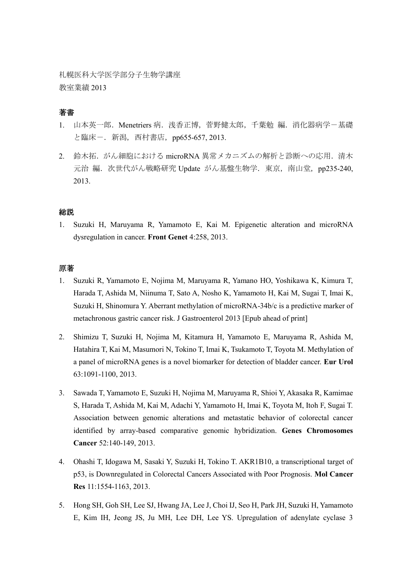札幌医科大学医学部分子生物学講座 教室業績 2013

## 著書

- 1. 山本英一郎. Menetriers 病. 浅香正博, 菅野健太郎, 千葉勉 編. 消化器病学-基礎 と臨床ー. 新潟, 西村書店, pp655-657, 2013.
- 2. 鈴木拓.がん細胞における microRNA 異常メカニズムの解析と診断への応用.清木 元治 編. 次世代がん戦略研究 Update がん基盤生物学. 東京, 南山堂, pp235-240, 2013.

### 総説

1. Suzuki H, Maruyama R, Yamamoto E, Kai M. Epigenetic alteration and microRNA dysregulation in cancer. **Front Genet** 4:258, 2013.

#### 原著

- 1. Suzuki R, Yamamoto E, Nojima M, Maruyama R, Yamano HO, Yoshikawa K, Kimura T, Harada T, Ashida M, Niinuma T, Sato A, Nosho K, Yamamoto H, Kai M, Sugai T, Imai K, Suzuki H, Shinomura Y. Aberrant methylation of microRNA-34b/c is a predictive marker of metachronous gastric cancer risk. J Gastroenterol 2013 [Epub ahead of print]
- 2. Shimizu T, Suzuki H, Nojima M, Kitamura H, Yamamoto E, Maruyama R, Ashida M, Hatahira T, Kai M, Masumori N, Tokino T, Imai K, Tsukamoto T, Toyota M. Methylation of a panel of microRNA genes is a novel biomarker for detection of bladder cancer. **Eur Urol**  63:1091-1100, 2013.
- 3. Sawada T, Yamamoto E, Suzuki H, Nojima M, Maruyama R, Shioi Y, Akasaka R, Kamimae S, Harada T, Ashida M, Kai M, Adachi Y, Yamamoto H, Imai K, Toyota M, Itoh F, Sugai T. Association between genomic alterations and metastatic behavior of colorectal cancer identified by array-based comparative genomic hybridization. **Genes Chromosomes Cancer** 52:140-149, 2013.
- 4. Ohashi T, Idogawa M, Sasaki Y, Suzuki H, Tokino T. AKR1B10, a transcriptional target of p53, is Downregulated in Colorectal Cancers Associated with Poor Prognosis. **Mol Cancer Res** 11:1554-1163, 2013.
- 5. Hong SH, Goh SH, Lee SJ, Hwang JA, Lee J, Choi IJ, Seo H, Park JH, Suzuki H, Yamamoto E, Kim IH, Jeong JS, Ju MH, Lee DH, Lee YS. Upregulation of adenylate cyclase 3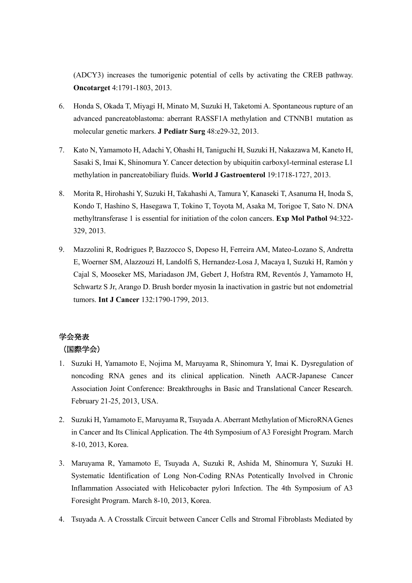(ADCY3) increases the tumorigenic potential of cells by activating the CREB pathway. **Oncotarget** 4:1791-1803, 2013.

- 6. Honda S, Okada T, Miyagi H, Minato M, Suzuki H, Taketomi A. Spontaneous rupture of an advanced pancreatoblastoma: aberrant RASSF1A methylation and CTNNB1 mutation as molecular genetic markers. **J Pediatr Surg** 48:e29-32, 2013.
- 7. Kato N, Yamamoto H, Adachi Y, Ohashi H, Taniguchi H, Suzuki H, Nakazawa M, Kaneto H, Sasaki S, Imai K, Shinomura Y. Cancer detection by ubiquitin carboxyl-terminal esterase L1 methylation in pancreatobiliary fluids. **World J Gastroenterol** 19:1718-1727, 2013.
- 8. Morita R, Hirohashi Y, Suzuki H, Takahashi A, Tamura Y, Kanaseki T, Asanuma H, Inoda S, Kondo T, Hashino S, Hasegawa T, Tokino T, Toyota M, Asaka M, Torigoe T, Sato N. DNA methyltransferase 1 is essential for initiation of the colon cancers. **Exp Mol Pathol** 94:322- 329, 2013.
- 9. Mazzolini R, Rodrigues P, Bazzocco S, Dopeso H, Ferreira AM, Mateo-Lozano S, Andretta E, Woerner SM, Alazzouzi H, Landolfi S, Hernandez-Losa J, Macaya I, Suzuki H, Ramón y Cajal S, Mooseker MS, Mariadason JM, Gebert J, Hofstra RM, Reventós J, Yamamoto H, Schwartz S Jr, Arango D. Brush border myosin Ia inactivation in gastric but not endometrial tumors. **Int J Cancer** 132:1790-1799, 2013.

# 学会発表 (国際学会)

- 1. Suzuki H, Yamamoto E, Nojima M, Maruyama R, Shinomura Y, Imai K. Dysregulation of noncoding RNA genes and its clinical application. Nineth AACR-Japanese Cancer Association Joint Conference: Breakthroughs in Basic and Translational Cancer Research. February 21-25, 2013, USA.
- 2. Suzuki H, Yamamoto E, Maruyama R, Tsuyada A. Aberrant Methylation of MicroRNA Genes in Cancer and Its Clinical Application. The 4th Symposium of A3 Foresight Program. March 8-10, 2013, Korea.
- 3. Maruyama R, Yamamoto E, Tsuyada A, Suzuki R, Ashida M, Shinomura Y, Suzuki H. Systematic Identification of Long Non-Coding RNAs Potentically Involved in Chronic Inflammation Associated with Helicobacter pylori Infection. The 4th Symposium of A3 Foresight Program. March 8-10, 2013, Korea.
- 4. Tsuyada A. A Crosstalk Circuit between Cancer Cells and Stromal Fibroblasts Mediated by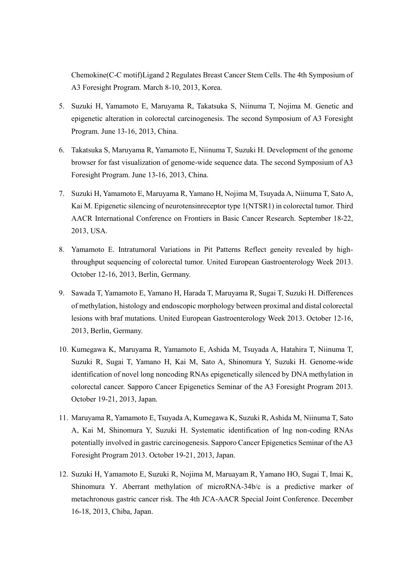Chemokine(C-C motif)Ligand 2 Regulates Breast Cancer Stem Cells. The 4th Symposium of A3 Foresight Program. March 8-10, 2013, Korea.

- 5. Suzuki H, Yamamoto E, Maruyama R, Takatsuka S, Niinuma T, Nojima M. Genetic and epigenetic alteration in colorectal carcinogenesis. The second Symposium of A3 Foresight Program. June 13-16, 2013, China.
- 6. Takatsuka S, Maruyama R, Yamamoto E, Niinuma T, Suzuki H. Development of the genome browser for fast visualization of genome-wide sequence data. The second Symposium of A3 Foresight Program. June 13-16, 2013, China.
- 7. Suzuki H, Yamamoto E, Maruyama R, Yamano H, Nojima M, Tsuyada A, Niinuma T, Sato A, Kai M. Epigenetic silencing of neurotensinreceptor type 1(NTSR1) in colorectal tumor. Third AACR International Conference on Frontiers in Basic Cancer Research. September 18-22, 2013, USA.
- 8. Yamamoto E. Intratumoral Variations in Pit Patterns Reflect geneity revealed by highthroughput sequencing of colorectal tumor. United European Gastroenterology Week 2013. October 12-16, 2013, Berlin, Germany.
- 9. Sawada T, Yamamoto E, Yamano H, Harada T, Maruyama R, Sugai T, Suzuki H. Differences of methylation, histology and endoscopic morphology between proximal and distal colorectal lesions with braf mutations. United European Gastroenterology Week 2013. October 12-16, 2013, Berlin, Germany.
- 10. Kumegawa K, Maruyama R, Yamamoto E, Ashida M, Tsuyada A, Hatahira T, Niinuma T, Suzuki R, Sugai T, Yamano H, Kai M, Sato A, Shinomura Y, Suzuki H. Genome-wide identification of novel long noncoding RNAs epigenetically silenced by DNA methylation in colorectal cancer. Sapporo Cancer Epigenetics Seminar of the A3 Foresight Program 2013. October 19-21, 2013, Japan.
- 11. Maruyama R, Yamamoto E, Tsuyada A, Kumegawa K, Suzuki R, Ashida M, Niinuma T, Sato A, Kai M, Shinomura Y, Suzuki H. Systematic identification of lng non-coding RNAs potentially involved in gastric carcinogenesis. Sapporo Cancer Epigenetics Seminar of the A3 Foresight Program 2013. October 19-21, 2013, Japan.
- 12. Suzuki H, Yamamoto E, Suzuki R, Nojima M, Maruayam R, Yamano HO, Sugai T, Imai K, Shinomura Y. Aberrant methylation of microRNA-34b/c is a predictive marker of metachronous gastric cancer risk. The 4th JCA-AACR Special Joint Conference. December 16-18, 2013, Chiba, Japan.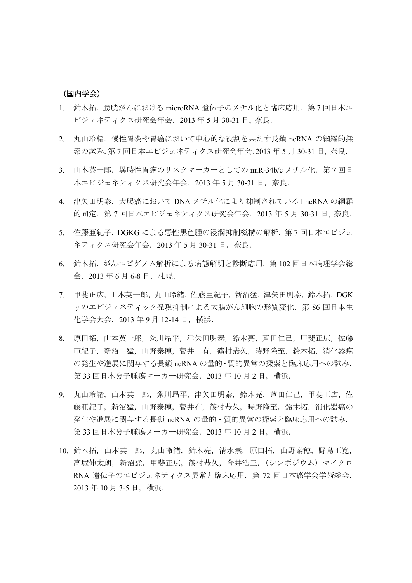#### (国内学会)

- 1. 鈴木拓. 膀胱がんにおける microRNA 遺伝子のメチル化と臨床応用. 第7回日本エ ピジェネティクス研究会年会.2013 年 5 月 30-31 日, 奈良.
- 2. 丸山玲緒.慢性胃炎や胃癌において中心的な役割を果たす長鎖 ncRNA の網羅的探 索の試み.第 7 回日本エピジェネティクス研究会年会. 2013 年 5 月 30-31 日, 奈良.
- 3. 山本英一郎. 異時性胃癌のリスクマーカーとしての miR-34b/c メチル化. 第7回日 本エピジェネティクス研究会年会.2013 年 5 月 30-31 日,奈良.
- 4. 津矢田明泰.大腸癌において DNA メチル化により抑制されている lincRNA の網羅 的同定.第 7 回日本エピジェネティクス研究会年会.2013 年 5 月 30-31 日, 奈良.
- 5. 佐藤亜紀子.DGKG による悪性黒色腫の浸潤抑制機構の解析.第 7 回日本エピジェ ネティクス研究会年会.2013 年 5 月 30-31 日,奈良.
- 6. 鈴木拓.がんエピゲノム解析による病態解明と診断応用. 第102回日本病理学会総 会, 2013年 6月 6-8 日, 札幌.
- 7. 甲斐正広,山本英一郎,丸山玲緒,佐藤亜紀子,新沼猛,津矢田明泰,鈴木拓.DGK γのエピジェネティック発現抑制による大腸がん細胞の形質変化.第 86 回日本生 化学会大会.2013 年 9 月 12-14 日,横浜.
- 8. 原田拓,山本英一郎,粂川昂平,津矢田明泰,鈴木亮,芦田仁己,甲斐正広,佐藤 亜紀子,新沼 猛,山野泰穂,菅井 有,篠村恭久,時野隆至,鈴木拓.消化器癌 の発生や進展に関与する長鎖 ncRNA の量的・質的異常の探索と臨床応用への試み. 第33回日本分子腫瘍マーカー研究会, 2013年10月2日, 横浜.
- 9. 丸山玲緒,山本英一郎,粂川昂平,津矢田明泰,鈴木亮,芦田仁己,甲斐正広,佐 藤亜紀子,新沼猛,山野泰穂,菅井有,篠村恭久,時野隆至,鈴木拓.消化器癌の 発生や進展に関与する長鎖 ncRNA の量的・質的異常の探索と臨床応用への試み. 第 33 回日本分子腫瘍メーカー研究会. 2013 年 10 月 2 日, 横浜.
- 10. 鈴木拓,山本英一郎,丸山玲緒,鈴木亮,清水崇,原田拓,山野泰穂,野島正寛, 高塚伸太朗,新沼猛,甲斐正広,篠村恭久,今井浩三.(シンポジウム)マイクロ RNA 遺伝子のエピジェネティクス異常と臨床応用. 第 72 回日本癌学会学術総会. 2013 年 10 月 3-5 日,横浜.